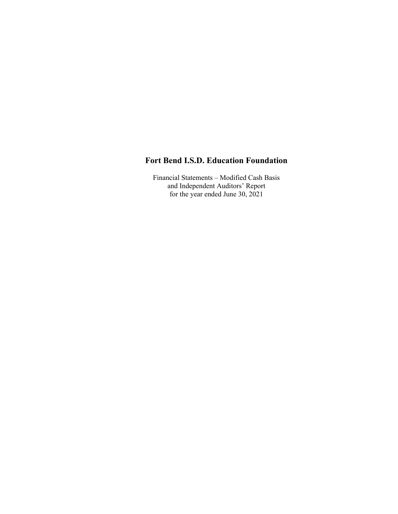Financial Statements – Modified Cash Basis and Independent Auditors' Report for the year ended June 30, 2021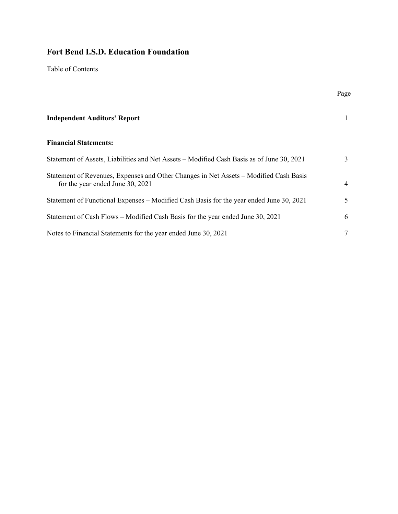|                                                                                                                           | Page |
|---------------------------------------------------------------------------------------------------------------------------|------|
| <b>Independent Auditors' Report</b>                                                                                       |      |
| <b>Financial Statements:</b>                                                                                              |      |
| Statement of Assets, Liabilities and Net Assets – Modified Cash Basis as of June 30, 2021                                 | 3    |
| Statement of Revenues, Expenses and Other Changes in Net Assets – Modified Cash Basis<br>for the year ended June 30, 2021 | 4    |
| Statement of Functional Expenses – Modified Cash Basis for the year ended June 30, 2021                                   | 5    |
| Statement of Cash Flows – Modified Cash Basis for the year ended June 30, 2021                                            | 6    |
| Notes to Financial Statements for the year ended June 30, 2021                                                            | 7    |
|                                                                                                                           |      |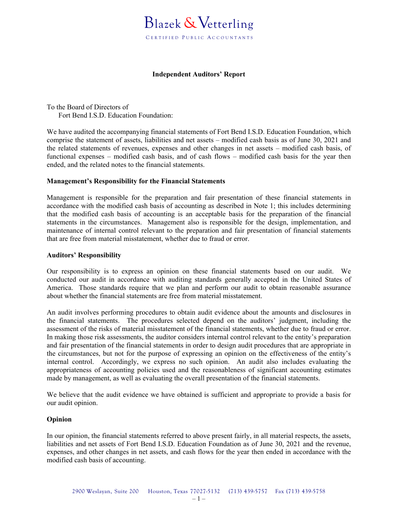#### **Independent Auditors' Report**

To the Board of Directors of Fort Bend I.S.D. Education Foundation:

We have audited the accompanying financial statements of Fort Bend I.S.D. Education Foundation, which comprise the statement of assets, liabilities and net assets – modified cash basis as of June 30, 2021 and the related statements of revenues, expenses and other changes in net assets – modified cash basis, of functional expenses – modified cash basis, and of cash flows – modified cash basis for the year then ended, and the related notes to the financial statements.

#### **Management's Responsibility for the Financial Statements**

Management is responsible for the preparation and fair presentation of these financial statements in accordance with the modified cash basis of accounting as described in Note 1; this includes determining that the modified cash basis of accounting is an acceptable basis for the preparation of the financial statements in the circumstances. Management also is responsible for the design, implementation, and maintenance of internal control relevant to the preparation and fair presentation of financial statements that are free from material misstatement, whether due to fraud or error.

#### **Auditors' Responsibility**

Our responsibility is to express an opinion on these financial statements based on our audit. We conducted our audit in accordance with auditing standards generally accepted in the United States of America. Those standards require that we plan and perform our audit to obtain reasonable assurance about whether the financial statements are free from material misstatement.

An audit involves performing procedures to obtain audit evidence about the amounts and disclosures in the financial statements. The procedures selected depend on the auditors' judgment, including the assessment of the risks of material misstatement of the financial statements, whether due to fraud or error. In making those risk assessments, the auditor considers internal control relevant to the entity's preparation and fair presentation of the financial statements in order to design audit procedures that are appropriate in the circumstances, but not for the purpose of expressing an opinion on the effectiveness of the entity's internal control. Accordingly, we express no such opinion. An audit also includes evaluating the appropriateness of accounting policies used and the reasonableness of significant accounting estimates made by management, as well as evaluating the overall presentation of the financial statements.

We believe that the audit evidence we have obtained is sufficient and appropriate to provide a basis for our audit opinion.

#### **Opinion**

In our opinion, the financial statements referred to above present fairly, in all material respects, the assets, liabilities and net assets of Fort Bend I.S.D. Education Foundation as of June 30, 2021 and the revenue, expenses, and other changes in net assets, and cash flows for the year then ended in accordance with the modified cash basis of accounting.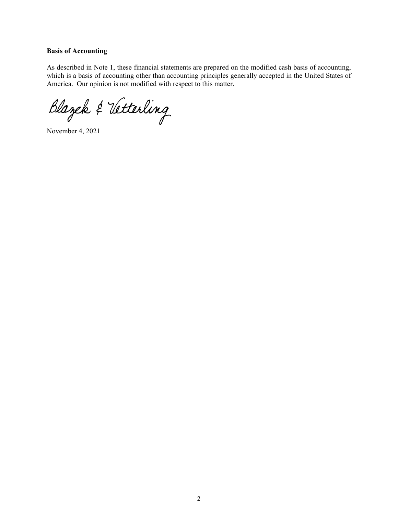## **Basis of Accounting**

As described in Note 1, these financial statements are prepared on the modified cash basis of accounting, which is a basis of accounting other than accounting principles generally accepted in the United States of America. Our opinion is not modified with respect to this matter.

Blazek & Vetterling

November 4, 2021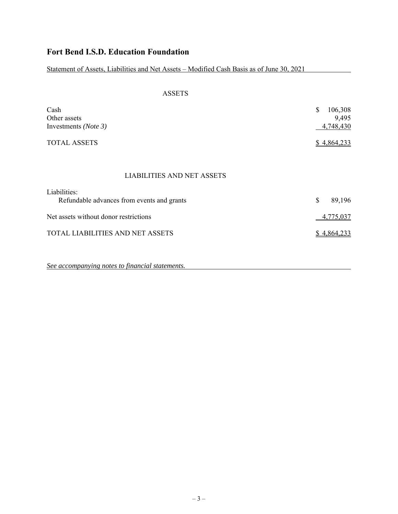Statement of Assets, Liabilities and Net Assets – Modified Cash Basis as of June 30, 2021

### ASSETS

| Cash<br>Other assets<br>Investments (Note 3)               | \$<br>106,308<br>9,495<br>4,748,430 |
|------------------------------------------------------------|-------------------------------------|
| <b>TOTAL ASSETS</b>                                        | \$4,864,233                         |
|                                                            |                                     |
| <b>LIABILITIES AND NET ASSETS</b>                          |                                     |
| Liabilities:<br>Refundable advances from events and grants | \$<br>89,196                        |
| Net assets without donor restrictions                      | 4,775,037                           |
| TOTAL LIABILITIES AND NET ASSETS                           | \$4,864,233                         |
|                                                            |                                     |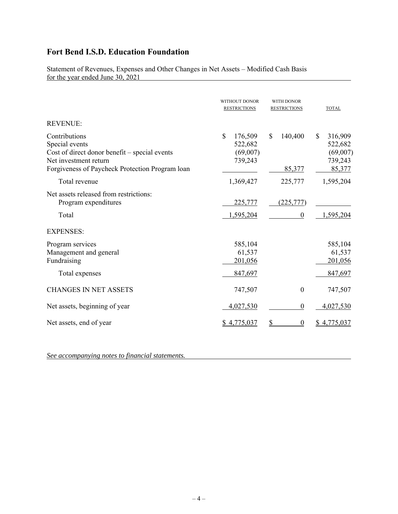Statement of Revenues, Expenses and Other Changes in Net Assets – Modified Cash Basis for the year ended June 30, 2021

|                                                                                                                                                              | WITHOUT DONOR<br><b>RESTRICTIONS</b>                     | WITH DONOR<br><b>RESTRICTIONS</b> | <b>TOTAL</b>                                              |
|--------------------------------------------------------------------------------------------------------------------------------------------------------------|----------------------------------------------------------|-----------------------------------|-----------------------------------------------------------|
| <b>REVENUE:</b>                                                                                                                                              |                                                          |                                   |                                                           |
| Contributions<br>Special events<br>Cost of direct donor benefit - special events<br>Net investment return<br>Forgiveness of Paycheck Protection Program loan | $\mathbf S$<br>176,509<br>522,682<br>(69,007)<br>739,243 | $\mathbb{S}$<br>140,400<br>85,377 | \$<br>316,909<br>522,682<br>(69,007)<br>739,243<br>85,377 |
| Total revenue                                                                                                                                                | 1,369,427                                                | 225,777                           | 1,595,204                                                 |
| Net assets released from restrictions:<br>Program expenditures                                                                                               | 225,777                                                  | (225, 777)                        |                                                           |
| Total                                                                                                                                                        | 1,595,204                                                | $\theta$                          | 1,595,204                                                 |
| <b>EXPENSES:</b>                                                                                                                                             |                                                          |                                   |                                                           |
| Program services<br>Management and general<br>Fundraising<br>Total expenses                                                                                  | 585,104<br>61,537<br>201,056<br>847,697                  |                                   | 585,104<br>61,537<br>201,056<br>847,697                   |
| <b>CHANGES IN NET ASSETS</b>                                                                                                                                 | 747,507                                                  | $\boldsymbol{0}$                  | 747,507                                                   |
| Net assets, beginning of year                                                                                                                                | 4,027,530                                                | $\boldsymbol{0}$                  | 4,027,530                                                 |
| Net assets, end of year                                                                                                                                      | \$4,775,037                                              | $\Omega$                          | \$4,775,037                                               |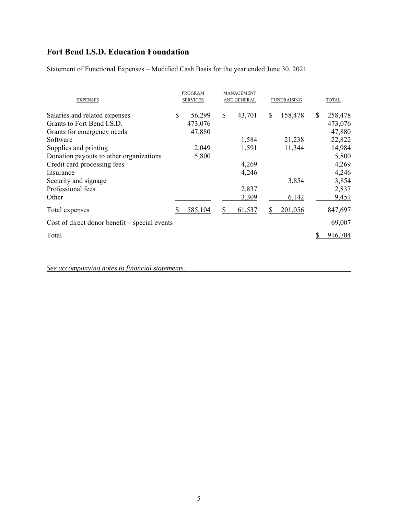Statement of Functional Expenses – Modified Cash Basis for the year ended June 30, 2021

| <b>EXPENSES</b>                                 | <b>PROGRAM</b><br><b>SERVICES</b> |              | <b>MANAGEMENT</b><br>AND GENERAL |   | <b>FUNDRAISING</b> | <b>TOTAL</b>  |
|-------------------------------------------------|-----------------------------------|--------------|----------------------------------|---|--------------------|---------------|
| Salaries and related expenses                   | \$<br>56,299                      | $\mathbb{S}$ | 43,701                           | S | 158,478            | \$<br>258,478 |
| Grants to Fort Bend I.S.D.                      | 473,076                           |              |                                  |   |                    | 473,076       |
| Grants for emergency needs                      | 47,880                            |              |                                  |   |                    | 47,880        |
| Software                                        |                                   |              | 1,584                            |   | 21,238             | 22,822        |
| Supplies and printing                           | 2,049                             |              | 1,591                            |   | 11,344             | 14,984        |
| Donation payouts to other organizations         | 5,800                             |              |                                  |   |                    | 5,800         |
| Credit card processing fees                     |                                   |              | 4,269                            |   |                    | 4,269         |
| Insurance                                       |                                   |              | 4,246                            |   |                    | 4,246         |
| Security and signage                            |                                   |              |                                  |   | 3,854              | 3,854         |
| Professional fees                               |                                   |              | 2,837                            |   |                    | 2,837         |
| Other                                           |                                   |              | 3,309                            |   | 6,142              | 9,451         |
| Total expenses                                  | 585,104                           |              | 61,537                           |   | 201,056            | 847,697       |
| Cost of direct donor benefit $-$ special events |                                   |              |                                  |   |                    | 69,007        |
| Total                                           |                                   |              |                                  |   |                    | 916,704       |
|                                                 |                                   |              |                                  |   |                    |               |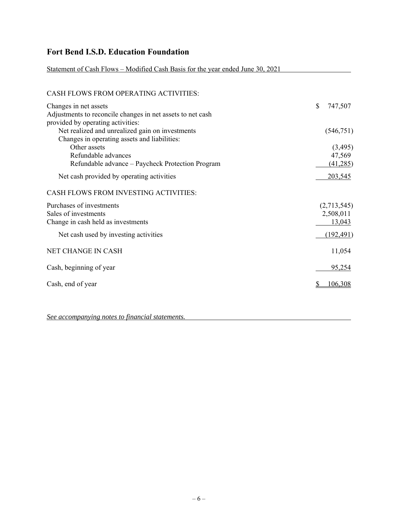## Statement of Cash Flows – Modified Cash Basis for the year ended June 30, 2021

| CASH FLOWS FROM OPERATING ACTIVITIES:                                                                                    |                                    |
|--------------------------------------------------------------------------------------------------------------------------|------------------------------------|
| Changes in net assets<br>Adjustments to reconcile changes in net assets to net cash<br>provided by operating activities: | \$<br>747,507                      |
| Net realized and unrealized gain on investments<br>Changes in operating assets and liabilities:                          | (546,751)                          |
| Other assets<br>Refundable advances                                                                                      | (3,495)<br>47,569                  |
| Refundable advance – Paycheck Protection Program                                                                         | (41,285)                           |
| Net cash provided by operating activities                                                                                | 203,545                            |
| CASH FLOWS FROM INVESTING ACTIVITIES:                                                                                    |                                    |
| Purchases of investments<br>Sales of investments<br>Change in cash held as investments                                   | (2,713,545)<br>2,508,011<br>13,043 |
| Net cash used by investing activities                                                                                    | (192, 491)                         |
| NET CHANGE IN CASH                                                                                                       | 11,054                             |
| Cash, beginning of year                                                                                                  | <u>95,254</u>                      |
| Cash, end of year                                                                                                        | 106,308                            |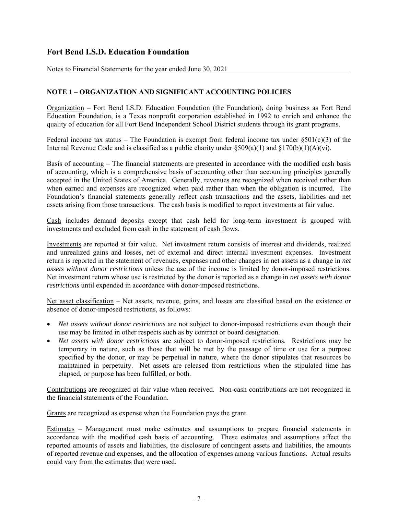Notes to Financial Statements for the year ended June 30, 2021

### **NOTE 1 – ORGANIZATION AND SIGNIFICANT ACCOUNTING POLICIES**

Organization – Fort Bend I.S.D. Education Foundation (the Foundation), doing business as Fort Bend Education Foundation, is a Texas nonprofit corporation established in 1992 to enrich and enhance the quality of education for all Fort Bend Independent School District students through its grant programs.

Federal income tax status – The Foundation is exempt from federal income tax under  $\S501(c)(3)$  of the Internal Revenue Code and is classified as a public charity under  $\S509(a)(1)$  and  $\S170(b)(1)(A)(vi)$ .

Basis of accounting – The financial statements are presented in accordance with the modified cash basis of accounting, which is a comprehensive basis of accounting other than accounting principles generally accepted in the United States of America. Generally, revenues are recognized when received rather than when earned and expenses are recognized when paid rather than when the obligation is incurred. The Foundation's financial statements generally reflect cash transactions and the assets, liabilities and net assets arising from those transactions. The cash basis is modified to report investments at fair value.

Cash includes demand deposits except that cash held for long-term investment is grouped with investments and excluded from cash in the statement of cash flows.

Investments are reported at fair value. Net investment return consists of interest and dividends, realized and unrealized gains and losses, net of external and direct internal investment expenses. Investment return is reported in the statement of revenues, expenses and other changes in net assets as a change in *net assets without donor restrictions* unless the use of the income is limited by donor-imposed restrictions. Net investment return whose use is restricted by the donor is reported as a change in *net assets with donor restrictions* until expended in accordance with donor-imposed restrictions.

Net asset classification – Net assets, revenue, gains, and losses are classified based on the existence or absence of donor-imposed restrictions, as follows:

- *Net assets without donor restrictions* are not subject to donor-imposed restrictions even though their use may be limited in other respects such as by contract or board designation.
- *Net assets with donor restrictions* are subject to donor-imposed restrictions. Restrictions may be temporary in nature, such as those that will be met by the passage of time or use for a purpose specified by the donor, or may be perpetual in nature, where the donor stipulates that resources be maintained in perpetuity. Net assets are released from restrictions when the stipulated time has elapsed, or purpose has been fulfilled, or both.

Contributions are recognized at fair value when received. Non-cash contributions are not recognized in the financial statements of the Foundation.

Grants are recognized as expense when the Foundation pays the grant.

Estimates – Management must make estimates and assumptions to prepare financial statements in accordance with the modified cash basis of accounting. These estimates and assumptions affect the reported amounts of assets and liabilities, the disclosure of contingent assets and liabilities, the amounts of reported revenue and expenses, and the allocation of expenses among various functions. Actual results could vary from the estimates that were used.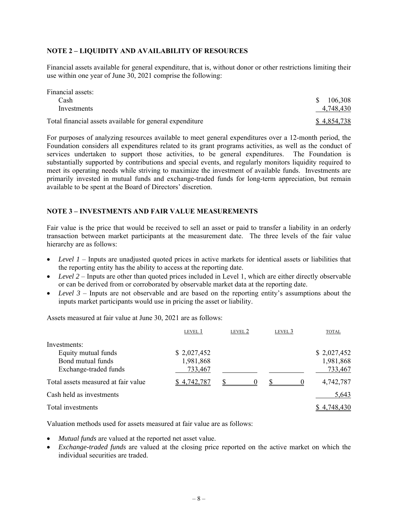### **NOTE 2 – LIQUIDITY AND AVAILABILITY OF RESOURCES**

Financial assets available for general expenditure, that is, without donor or other restrictions limiting their use within one year of June 30, 2021 comprise the following:

| Financial assets:                                        |                         |
|----------------------------------------------------------|-------------------------|
| Cash                                                     | 106,308<br><sup>S</sup> |
| Investments                                              | 4,748,430               |
| Total financial assets available for general expenditure | \$4,854,738             |

For purposes of analyzing resources available to meet general expenditures over a 12-month period, the Foundation considers all expenditures related to its grant programs activities, as well as the conduct of services undertaken to support those activities, to be general expenditures. The Foundation is substantially supported by contributions and special events, and regularly monitors liquidity required to meet its operating needs while striving to maximize the investment of available funds. Investments are primarily invested in mutual funds and exchange-traded funds for long-term appreciation, but remain available to be spent at the Board of Directors' discretion.

### **NOTE 3 – INVESTMENTS AND FAIR VALUE MEASUREMENTS**

Fair value is the price that would be received to sell an asset or paid to transfer a liability in an orderly transaction between market participants at the measurement date. The three levels of the fair value hierarchy are as follows:

- Level 1 Inputs are unadjusted quoted prices in active markets for identical assets or liabilities that the reporting entity has the ability to access at the reporting date.
- *Level 2* Inputs are other than quoted prices included in Level 1, which are either directly observable or can be derived from or corroborated by observable market data at the reporting date.
- *Level 3* Inputs are not observable and are based on the reporting entity's assumptions about the inputs market participants would use in pricing the asset or liability.

Assets measured at fair value at June 30, 2021 are as follows:

|                                     | LEVEL 1     | LEVEL 2 | LEVEL 3 | <b>TOTAL</b> |
|-------------------------------------|-------------|---------|---------|--------------|
| Investments:                        |             |         |         |              |
| Equity mutual funds                 | \$2,027,452 |         |         | \$2,027,452  |
| Bond mutual funds                   | 1,981,868   |         |         | 1,981,868    |
| Exchange-traded funds               | 733,467     |         |         | 733,467      |
| Total assets measured at fair value | \$4,742,787 |         |         | 4,742,787    |
| Cash held as investments            |             |         |         | 5,643        |
| Total investments                   |             |         |         | \$4,748,430  |

Valuation methods used for assets measured at fair value are as follows:

- *Mutual funds* are valued at the reported net asset value.
- *Exchange-traded funds* are valued at the closing price reported on the active market on which the individual securities are traded.